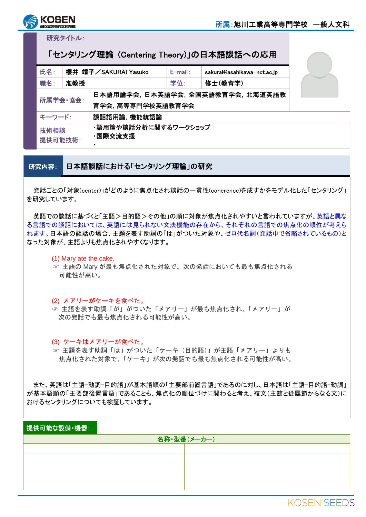

研究タイトル:

## 「センタリング理論 (Centering Theory)」の日本語談話への応用

| 氏名:                           | 櫻井 靖子/SAKURAI Yasuko |                                 | $E$ -mail:                        | sakurai@asahikawa-nct.ac.jp |  |  |
|-------------------------------|----------------------|---------------------------------|-----------------------------------|-----------------------------|--|--|
| 職名:                           | 准教授                  |                                 | 学位:                               | 修士(教育学)                     |  |  |
| 所属学会·協会:<br>育学会, 高等専門学校英語教育学会 |                      |                                 | 日本語用論学会, 日本英語学会, 全国英語教育学会, 北海道英語教 |                             |  |  |
| 談話語用論, 機能統語論<br>キーワード:        |                      |                                 |                                   |                             |  |  |
| 技術相談<br>提供可能技術:               |                      | ・語用論や談話分析に関するワークショップ<br>·国際交流支援 |                                   |                             |  |  |

研究内容: 日本語談話における「センタリング理論」の研究

発話ごとの「対象(center)」がどのように焦点化され談話の一貫性(coherence)を成すかをモデル化した「センタリング」 を研究しています。

英語での談話に基づくと「主語>目的語>その他」の順に対象が焦点化されやすいと言われていますが、英語と異な る言語での談話においては、英語には見られない文法機能の存在から、それぞれの言語での焦点化の順位が考えら れます。日本語の談話の場合、主題を表す助詞の「は」がついた対象や、ゼロ代名詞(発話中で省略されているもの)と なった対象が、主語よりも焦点化されやすくなります。

(1) Mary ate the cake.

☞ 主語の Mary が最も焦点化された対象で、次の発話においても最も焦点化される 可能性が高い。

(2) メアリーがケーキを食べた。

☞ 主語を表す助詞「が」がついた「メアリー」が最も焦点化され、「メアリー」が 次の発話でも最も焦点化される可能性が高い。

(3) ケーキはメアリーが食べた。

☞ 主題を表す助詞「は」がついた「ケーキ(目的語)」が主語「メアリー」よりも 焦点化された対象で、「ケーキ」が次の発話でも最も焦点化される可能性が高い。

また、英語は「主語-動詞-目的語」が基本語順の「主要部前置言語」であるのに対し、日本語は「主語-目的語-動詞」 が基本語順の「主要部後置言語」であることも、焦点化の順位づけに関わると考え、複文(主節と従属節からなる文)に おけるセンタリングについても検証しています。

## 提供可能な設備・機器:

| 名称・型番(メーカー) |  |  |  |  |  |
|-------------|--|--|--|--|--|
|             |  |  |  |  |  |
|             |  |  |  |  |  |
|             |  |  |  |  |  |
|             |  |  |  |  |  |
|             |  |  |  |  |  |